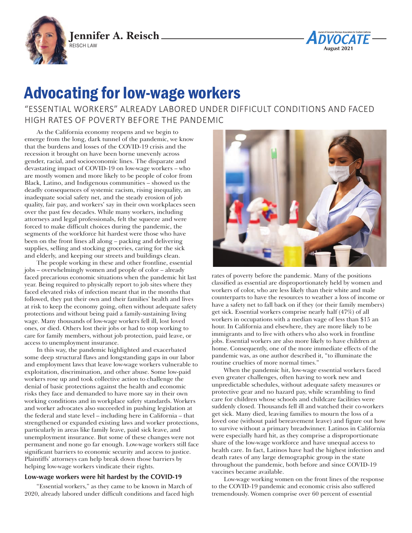



## Advocating for low-wage workers

"ESSENTIAL WORKERS" ALREADY LABORED UNDER DIFFICULT CONDITIONS AND FACED HIGH RATES OF POVERTY BEFORE THE PANDEMIC

As the California economy reopens and we begin to emerge from the long, dark tunnel of the pandemic, we know that the burdens and losses of the COVID-19 crisis and the recession it brought on have been borne unevenly across gender, racial, and socioeconomic lines. The disparate and devastating impact of COVID-19 on low-wage workers – who are mostly women and more likely to be people of color from Black, Latino, and Indigenous communities – showed us the deadly consequences of systemic racism, rising inequality, an inadequate social safety net, and the steady erosion of job quality, fair pay, and workers' say in their own workplaces seen over the past few decades. While many workers, including attorneys and legal professionals, felt the squeeze and were forced to make difficult choices during the pandemic, the segments of the workforce hit hardest were those who have been on the front lines all along – packing and delivering supplies, selling and stocking groceries, caring for the sick and elderly, and keeping our streets and buildings clean.

The people working in these and other frontline, essential jobs – overwhelmingly women and people of color – already faced precarious economic situations when the pandemic hit last year. Being required to physically report to job sites where they faced elevated risks of infection meant that in the months that followed, they put their own and their families' health and lives at risk to keep the economy going, often without adequate safety protections and without being paid a family-sustaining living wage. Many thousands of low-wage workers fell ill, lost loved ones, or died. Others lost their jobs or had to stop working to care for family members, without job protection, paid leave, or access to unemployment insurance.

In this way, the pandemic highlighted and exacerbated some deep structural flaws and longstanding gaps in our labor and employment laws that leave low-wage workers vulnerable to exploitation, discrimination, and other abuse. Some low-paid workers rose up and took collective action to challenge the denial of basic protections against the health and economic risks they face and demanded to have more say in their own working conditions and in workplace safety standards. Workers and worker advocates also succeeded in pushing legislation at the federal and state level – including here in California – that strengthened or expanded existing laws and worker protections, particularly in areas like family leave, paid sick leave, and unemployment insurance. But some of these changes were not permanent and none go far enough. Low-wage workers still face significant barriers to economic security and access to justice. Plaintiffs' attorneys can help break down those barriers by helping low-wage workers vindicate their rights.

## **Low-wage workers were hit hardest by the COVID-19**

"Essential workers," as they came to be known in March of 2020, already labored under difficult conditions and faced high



rates of poverty before the pandemic. Many of the positions classified as essential are disproportionately held by women and workers of color, who are less likely than their white and male counterparts to have the resources to weather a loss of income or have a safety net to fall back on if they (or their family members) get sick. Essential workers comprise nearly half (47%) of all workers in occupations with a median wage of less than \$15 an hour. In California and elsewhere, they are more likely to be immigrants and to live with others who also work in frontline jobs. Essential workers are also more likely to have children at home. Consequently, one of the more immediate effects of the pandemic was, as one author described it, "to illuminate the routine cruelties of more normal times."

When the pandemic hit, low-wage essential workers faced even greater challenges, often having to work new and unpredictable schedules, without adequate safety measures or protective gear and no hazard pay, while scrambling to find care for children whose schools and childcare facilities were suddenly closed. Thousands fell ill and watched their co-workers get sick. Many died, leaving families to mourn the loss of a loved one (without paid bereavement leave) and figure out how to survive without a primary breadwinner. Latinos in California were especially hard hit, as they comprise a disproportionate share of the low-wage workforce and have unequal access to health care. In fact, Latinos have had the highest infection and death rates of any large demographic group in the state throughout the pandemic, both before and since COVID-19 vaccines became available.

Low-wage working women on the front lines of the response to the COVID-19 pandemic and economic crisis also suffered tremendously. Women comprise over 60 percent of essential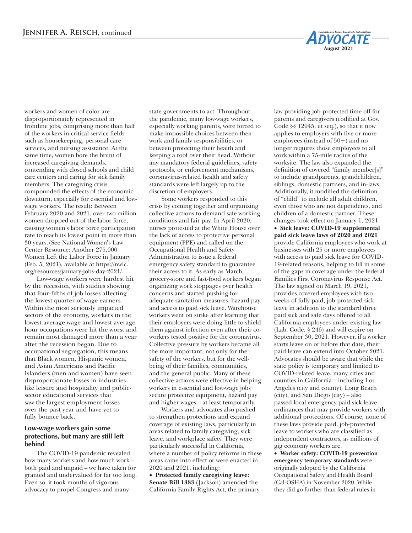workers and women of color are disproportionately represented in frontline jobs, comprising more than half of the workers in critical service fields such as housekeeping, personal care services, and nursing assistance. At the same time, women bore the brunt of increased caregiving demands, contending with closed schools and child care centers and caring for sick family members. The caregiving crisis compounded the effects of the economic downturn, especially for essential and lowwage workers. The result: Between February 2020 and 2021, over two million women dropped out of the labor force, causing women's labor force participation rate to reach its lowest point in more than 30 years.(See National Women's Law Center Resource: Another 275,000 Women Left the Labor Force in January (Feb. 5, 2021), available at https://nwlc. org/resources/january-jobs-day-2021/.

Low-wage workers were hardest hit by the recession, with studies showing that four-fifths of job losses affecting the lowest quarter of wage earners. Within the most seriously impacted sectors of the economy, workers in the lowest average wage and lowest average hour occupations were hit the worst and remain most damaged more than a year after the recession began. Due to occupational segregation, this means that Black women, Hispanic women, and Asian Americans and Pacific Islanders (men and women) have seen disproportionate losses in industries like leisure and hospitality and publicsector educational services that saw the largest employment losses over the past year and have yet to fully bounce back.

## **Low-wage workers gain some protections, but many are still left behind**

The COVID-19 pandemic revealed how many workers and how much work – both paid and unpaid – we have taken for granted and undervalued for far too long. Even so, it took months of vigorous advocacy to propel Congress and many

state governments to act. Throughout the pandemic, many low-wage workers, especially working parents, were forced to make impossible choices between their work and family responsibilities, or between protecting their health and keeping a roof over their head. Without any mandatory federal guidelines, safety protocols, or enforcement mechanisms, coronavirus-related health and safety standards were left largely up to the discretion of employers.

Some workers responded to this crisis by coming together and organizing collective actions to demand safe working conditions and fair pay. In April 2020, nurses protested at the White House over the lack of access to protective personal equipment (PPE) and called on the Occupational Health and Safety Administration to issue a federal emergency safety standard to guarantee their access to it. As early as March, grocery-store and fast-food workers began organizing work stoppages over health concerns and started pushing for adequate sanitation measures, hazard pay, and access to paid sick leave. Warehouse workers went on strike after learning that their employers were doing little to shield them against infection even after their coworkers tested positive for the coronavirus. Collective pressure by workers became all the more important, not only for the safety of the workers, but for the wellbeing of their families, communities, and the general public. Many of these collective actions were effective in helping workers in essential and low-wage jobs secure protective equipment, hazard pay and higher wages – at least temporarily.

Workers and advocates also pushed to strengthen protections and expand coverage of existing laws, particularly in areas related to family caregiving, sick leave, and workplace safety. They were particularly successful in California, where a number of policy reforms in these areas came into effect or were enacted in 2020 and 2021, including:

• **Protected family caregiving leave: Senate Bill 1383** (Jackson) amended the California Family Rights Act, the primary

law providing job-protected time off for parents and caregivers (codified at Gov. Code §§ 12945, et seq.), so that it now applies to employers with five or more employees (instead of 50+) and no longer requires those employees to all work within a 75-mile radius of the worksite. The law also expanded the definition of covered "family member[s]" to include grandparents, grandchildren, siblings, domestic partners, and in-laws. Additionally, it modified the definition of "child" to include all adult children, even those who are not dependents, and children of a domestic partner. These changes took effect on January 1, 2021.

**August 2021**

• **Sick leave: COVID-19 supplemental paid sick leave laws of 2020 and 2021** provide California employees who work at businesses with 25 or more employees with access to paid sick leave for COVID-19-related reasons, helping to fill in some of the gaps in coverage under the federal Families First Coronavirus Response Act. The law signed on March 19, 2021, provides covered employees with two weeks of fully paid, job-protected sick leave in addition to the standard three paid sick and safe days offered to all California employees under existing law (Lab. Code, § 246) and will expire on September 30, 2021. However, if a worker starts leave on or before that date, their paid leave can extend into October 2021. Advocates should be aware that while the state policy is temporary and limited to COVID-related leave, many cities and counties in California – including Los Angeles (city and county), Long Beach (city), and San Diego (city) – also passed local emergency paid sick leave ordinances that may provide workers with additional protections. Of course, none of these laws provide paid, job-protected leave to workers who are classified as independent contractors, as millions of gig economy workers are.

• **Worker safety: COVID-19 prevention emergency temporary standards** were originally adopted by the California Occupational Safety and Health Board (Cal-OSHA) in November 2020. While they did go further than federal rules in